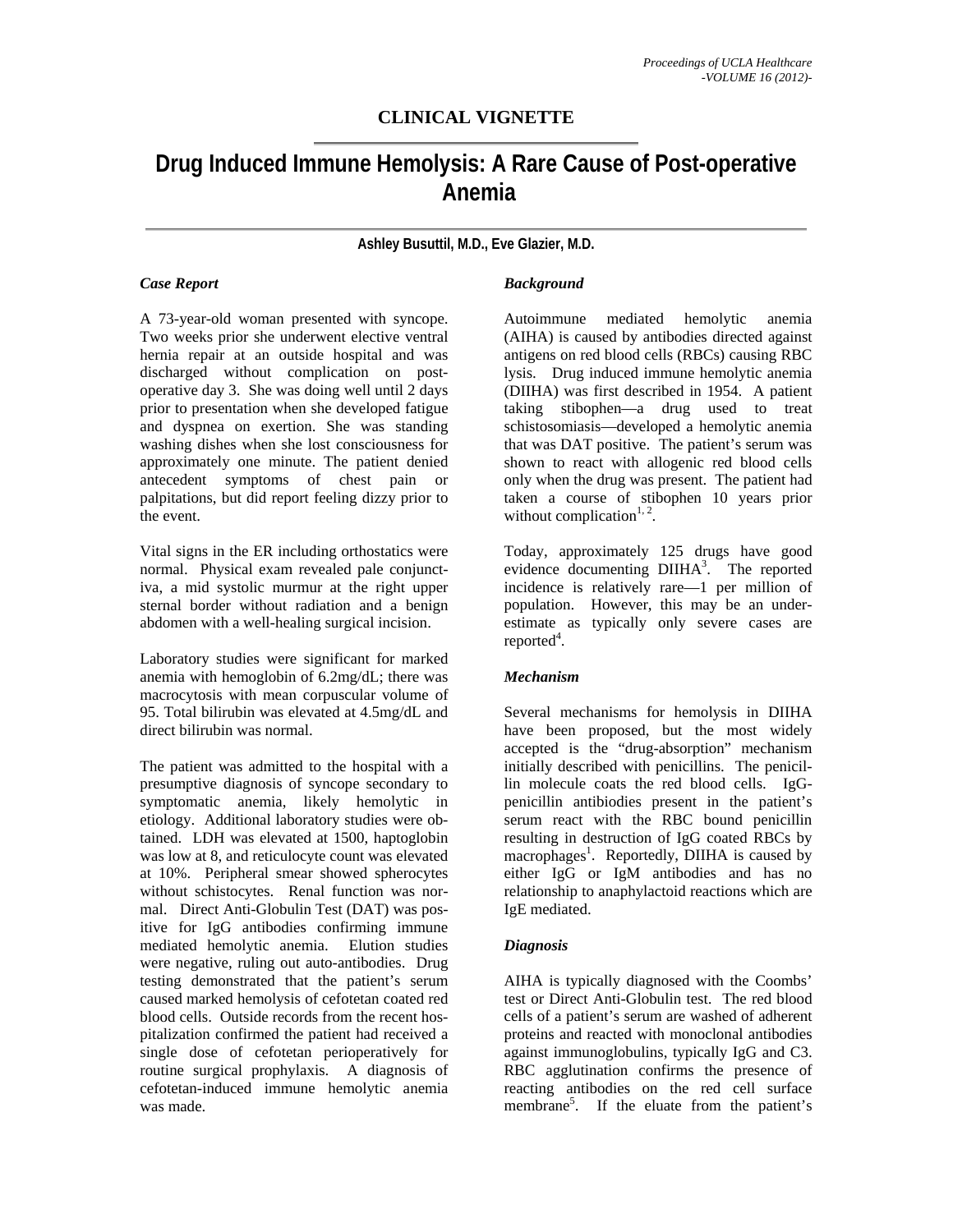# **CLINICAL VIGNETTE**

# **Drug Induced Immune Hemolysis: A Rare Cause of Post-operative Anemia**

**Ashley Busuttil, M.D., Eve Glazier, M.D.** 

# *Case Report*

A 73-year-old woman presented with syncope. Two weeks prior she underwent elective ventral hernia repair at an outside hospital and was discharged without complication on postoperative day 3. She was doing well until 2 days prior to presentation when she developed fatigue and dyspnea on exertion. She was standing washing dishes when she lost consciousness for approximately one minute. The patient denied antecedent symptoms of chest pain or palpitations, but did report feeling dizzy prior to the event.

Vital signs in the ER including orthostatics were normal. Physical exam revealed pale conjunctiva, a mid systolic murmur at the right upper sternal border without radiation and a benign abdomen with a well-healing surgical incision.

Laboratory studies were significant for marked anemia with hemoglobin of 6.2mg/dL; there was macrocytosis with mean corpuscular volume of 95. Total bilirubin was elevated at 4.5mg/dL and direct bilirubin was normal.

The patient was admitted to the hospital with a presumptive diagnosis of syncope secondary to symptomatic anemia, likely hemolytic in etiology. Additional laboratory studies were obtained. LDH was elevated at 1500, haptoglobin was low at 8, and reticulocyte count was elevated at 10%. Peripheral smear showed spherocytes without schistocytes. Renal function was normal. Direct Anti-Globulin Test (DAT) was positive for IgG antibodies confirming immune mediated hemolytic anemia. Elution studies were negative, ruling out auto-antibodies. Drug testing demonstrated that the patient's serum caused marked hemolysis of cefotetan coated red blood cells. Outside records from the recent hospitalization confirmed the patient had received a single dose of cefotetan perioperatively for routine surgical prophylaxis. A diagnosis of cefotetan-induced immune hemolytic anemia was made.

# *Background*

Autoimmune mediated hemolytic anemia (AIHA) is caused by antibodies directed against antigens on red blood cells (RBCs) causing RBC lysis. Drug induced immune hemolytic anemia (DIIHA) was first described in 1954. A patient taking stibophen—a drug used to treat schistosomiasis—developed a hemolytic anemia that was DAT positive. The patient's serum was shown to react with allogenic red blood cells only when the drug was present. The patient had taken a course of stibophen 10 years prior without complication $1, 2$ .

Today, approximately 125 drugs have good evidence documenting DIIHA<sup>3</sup>. The reported incidence is relatively rare—1 per million of population. However, this may be an underestimate as typically only severe cases are reported<sup>4</sup>.

## *Mechanism*

Several mechanisms for hemolysis in DIIHA have been proposed, but the most widely accepted is the "drug-absorption" mechanism initially described with penicillins. The penicillin molecule coats the red blood cells. IgGpenicillin antibiodies present in the patient's serum react with the RBC bound penicillin resulting in destruction of IgG coated RBCs by macrophages<sup>1</sup>. Reportedly, DIIHA is caused by either IgG or IgM antibodies and has no relationship to anaphylactoid reactions which are IgE mediated.

# *Diagnosis*

AIHA is typically diagnosed with the Coombs' test or Direct Anti-Globulin test. The red blood cells of a patient's serum are washed of adherent proteins and reacted with monoclonal antibodies against immunoglobulins, typically IgG and C3. RBC agglutination confirms the presence of reacting antibodies on the red cell surface membrane<sup>5</sup>. If the eluate from the patient's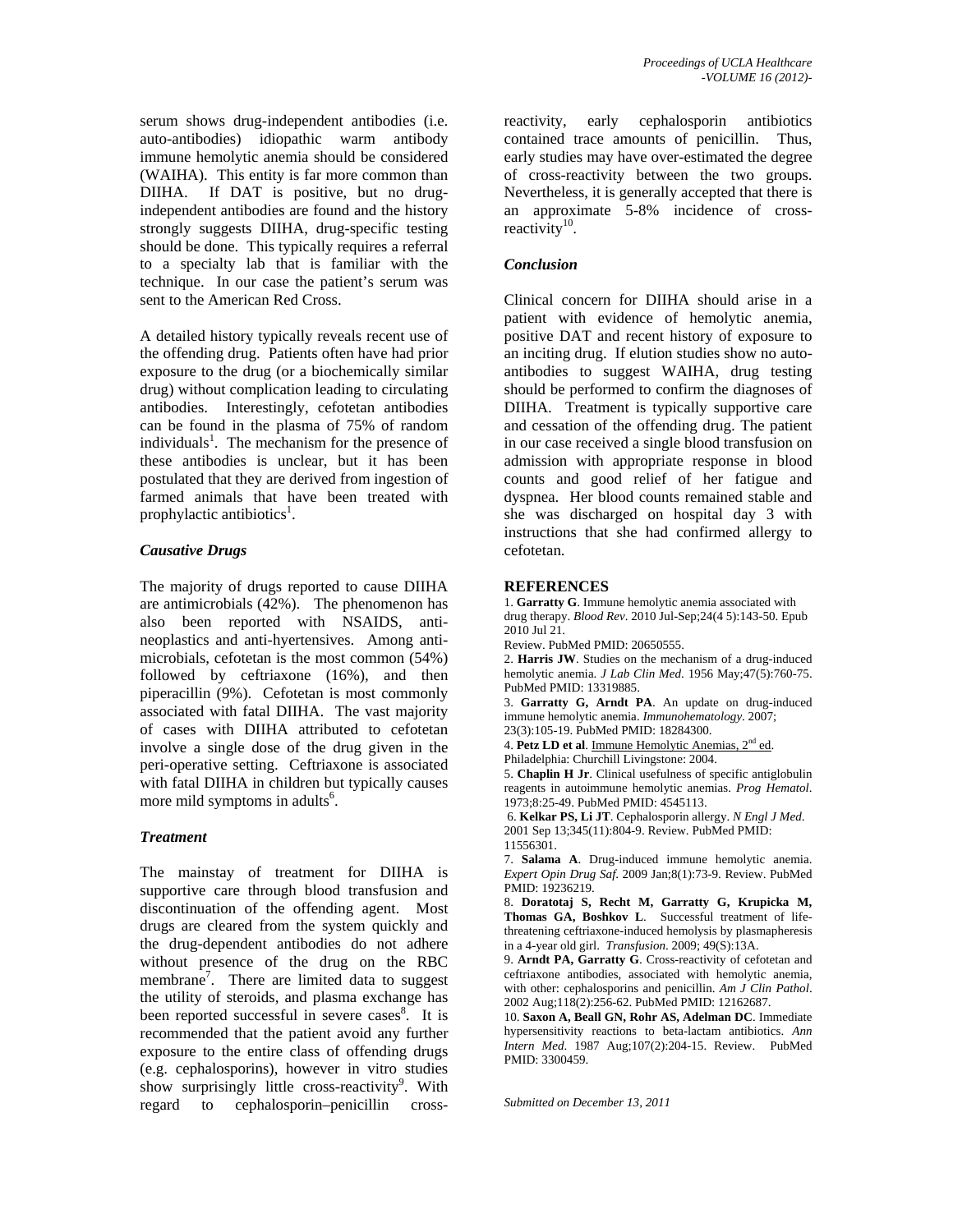serum shows drug-independent antibodies (i.e. auto-antibodies) idiopathic warm antibody immune hemolytic anemia should be considered (WAIHA). This entity is far more common than DIIHA. If DAT is positive, but no drugindependent antibodies are found and the history strongly suggests DIIHA, drug-specific testing should be done. This typically requires a referral to a specialty lab that is familiar with the technique. In our case the patient's serum was sent to the American Red Cross.

A detailed history typically reveals recent use of the offending drug. Patients often have had prior exposure to the drug (or a biochemically similar drug) without complication leading to circulating antibodies. Interestingly, cefotetan antibodies can be found in the plasma of 75% of random individuals<sup>1</sup>. The mechanism for the presence of these antibodies is unclear, but it has been postulated that they are derived from ingestion of farmed animals that have been treated with prophylactic antibiotics<sup>1</sup>.

# *Causative Drugs*

The majority of drugs reported to cause DIIHA are antimicrobials (42%). The phenomenon has also been reported with NSAIDS, antineoplastics and anti-hyertensives. Among antimicrobials, cefotetan is the most common (54%) followed by ceftriaxone (16%), and then piperacillin (9%). Cefotetan is most commonly associated with fatal DIIHA. The vast majority of cases with DIIHA attributed to cefotetan involve a single dose of the drug given in the peri-operative setting. Ceftriaxone is associated with fatal DIIHA in children but typically causes more mild symptoms in adults<sup>6</sup>.

## *Treatment*

The mainstay of treatment for DIIHA is supportive care through blood transfusion and discontinuation of the offending agent. Most drugs are cleared from the system quickly and the drug-dependent antibodies do not adhere without presence of the drug on the RBC membrane<sup>7</sup>. There are limited data to suggest the utility of steroids, and plasma exchange has been reported successful in severe cases $\overline{\text{}}^8$ . It is recommended that the patient avoid any further exposure to the entire class of offending drugs (e.g. cephalosporins), however in vitro studies show surprisingly little cross-reactivity<sup>9</sup>. With regard to cephalosporin–penicillin cross-

reactivity, early cephalosporin antibiotics contained trace amounts of penicillin. Thus, early studies may have over-estimated the degree of cross-reactivity between the two groups. Nevertheless, it is generally accepted that there is an approximate 5-8% incidence of crossreactivity $10$ .

# *Conclusion*

Clinical concern for DIIHA should arise in a patient with evidence of hemolytic anemia, positive DAT and recent history of exposure to an inciting drug. If elution studies show no autoantibodies to suggest WAIHA, drug testing should be performed to confirm the diagnoses of DIIHA. Treatment is typically supportive care and cessation of the offending drug. The patient in our case received a single blood transfusion on admission with appropriate response in blood counts and good relief of her fatigue and dyspnea. Her blood counts remained stable and she was discharged on hospital day 3 with instructions that she had confirmed allergy to cefotetan.

#### **REFERENCES**

1. **Garratty G**. Immune hemolytic anemia associated with drug therapy. *Blood Rev*. 2010 Jul-Sep;24(4 5):143-50. Epub 2010 Jul 21.

Review. PubMed PMID: 20650555.

2. **Harris JW**. Studies on the mechanism of a drug-induced hemolytic anemia. *J Lab Clin Med*. 1956 May;47(5):760-75. PubMed PMID: 13319885.

3. **Garratty G, Arndt PA**. An update on drug-induced immune hemolytic anemia. *Immunohematology*. 2007; 23(3):105-19. PubMed PMID: 18284300.

4. **Petz LD et al**. Immune Hemolytic Anemias, 2nd ed. Philadelphia: Churchill Livingstone: 2004.

5. **Chaplin H Jr**. Clinical usefulness of specific antiglobulin reagents in autoimmune hemolytic anemias. *Prog Hematol*. 1973;8:25-49. PubMed PMID: 4545113.

 6. **Kelkar PS, Li JT**. Cephalosporin allergy. *N Engl J Med*. 2001 Sep 13;345(11):804-9. Review. PubMed PMID: 11556301.

7. **Salama A**. Drug-induced immune hemolytic anemia. *Expert Opin Drug Saf*. 2009 Jan;8(1):73-9. Review. PubMed PMID: 19236219.

8. **Doratotaj S, Recht M, Garratty G, Krupicka M, Thomas GA, Boshkov L**. Successful treatment of lifethreatening ceftriaxone-induced hemolysis by plasmapheresis in a 4-year old girl. *Transfusion*. 2009; 49(S):13A.

9. **Arndt PA, Garratty G**. Cross-reactivity of cefotetan and ceftriaxone antibodies, associated with hemolytic anemia, with other: cephalosporins and penicillin. *Am J Clin Pathol*. 2002 Aug;118(2):256-62. PubMed PMID: 12162687.

10. **Saxon A, Beall GN, Rohr AS, Adelman DC**. Immediate hypersensitivity reactions to beta-lactam antibiotics. *Ann Intern Med*. 1987 Aug;107(2):204-15. Review. PubMed PMID: 3300459.

*Submitted on December 13, 2011*